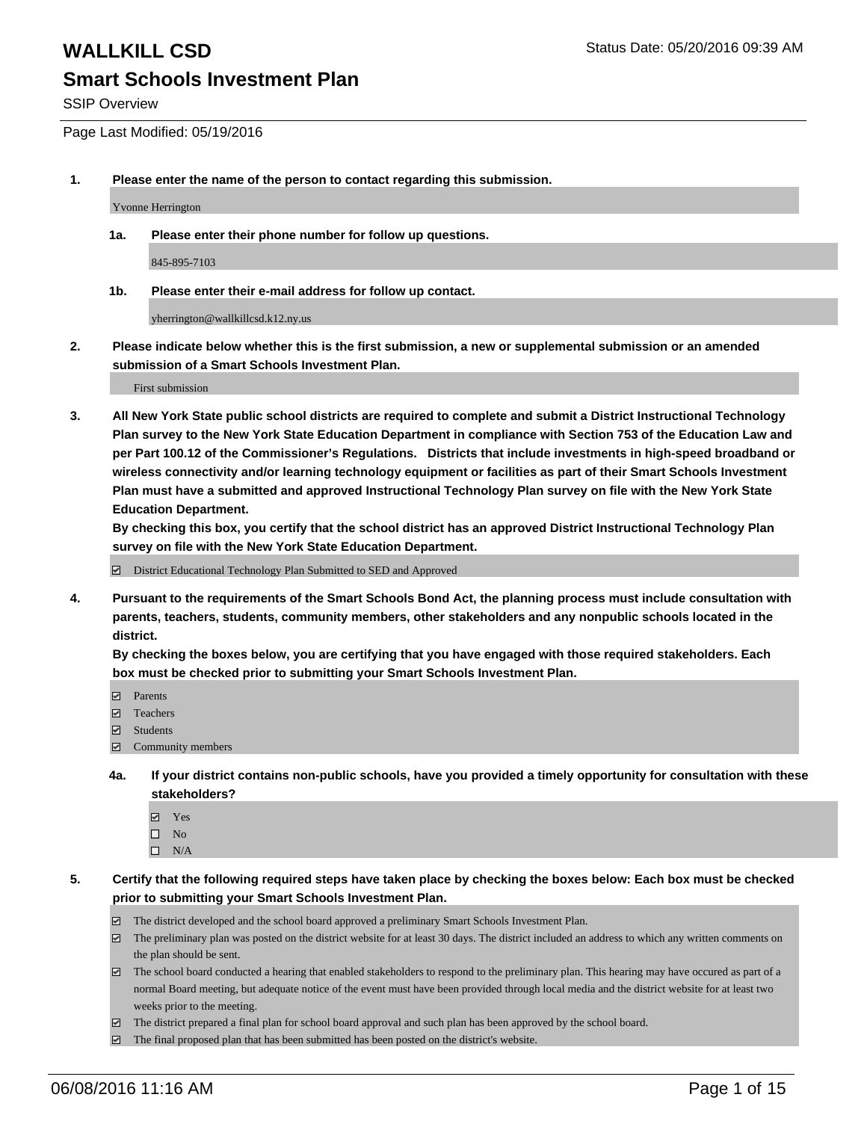SSIP Overview

Page Last Modified: 05/19/2016

**1. Please enter the name of the person to contact regarding this submission.**

Yvonne Herrington

**1a. Please enter their phone number for follow up questions.**

845-895-7103

**1b. Please enter their e-mail address for follow up contact.**

yherrington@wallkillcsd.k12.ny.us

**2. Please indicate below whether this is the first submission, a new or supplemental submission or an amended submission of a Smart Schools Investment Plan.**

First submission

**3. All New York State public school districts are required to complete and submit a District Instructional Technology Plan survey to the New York State Education Department in compliance with Section 753 of the Education Law and per Part 100.12 of the Commissioner's Regulations. Districts that include investments in high-speed broadband or wireless connectivity and/or learning technology equipment or facilities as part of their Smart Schools Investment Plan must have a submitted and approved Instructional Technology Plan survey on file with the New York State Education Department.** 

**By checking this box, you certify that the school district has an approved District Instructional Technology Plan survey on file with the New York State Education Department.**

District Educational Technology Plan Submitted to SED and Approved

**4. Pursuant to the requirements of the Smart Schools Bond Act, the planning process must include consultation with parents, teachers, students, community members, other stakeholders and any nonpublic schools located in the district.** 

**By checking the boxes below, you are certifying that you have engaged with those required stakeholders. Each box must be checked prior to submitting your Smart Schools Investment Plan.**

- **Parents**
- Teachers
- Students
- Community members
- **4a. If your district contains non-public schools, have you provided a timely opportunity for consultation with these stakeholders?**
	- Yes  $\square$  No
	- $\square$  N/A
- **5. Certify that the following required steps have taken place by checking the boxes below: Each box must be checked prior to submitting your Smart Schools Investment Plan.**
	- The district developed and the school board approved a preliminary Smart Schools Investment Plan.
	- $\boxdot$  The preliminary plan was posted on the district website for at least 30 days. The district included an address to which any written comments on the plan should be sent.
	- $\Box$  The school board conducted a hearing that enabled stakeholders to respond to the preliminary plan. This hearing may have occured as part of a normal Board meeting, but adequate notice of the event must have been provided through local media and the district website for at least two weeks prior to the meeting.
	- The district prepared a final plan for school board approval and such plan has been approved by the school board.
	- $\boxdot$  The final proposed plan that has been submitted has been posted on the district's website.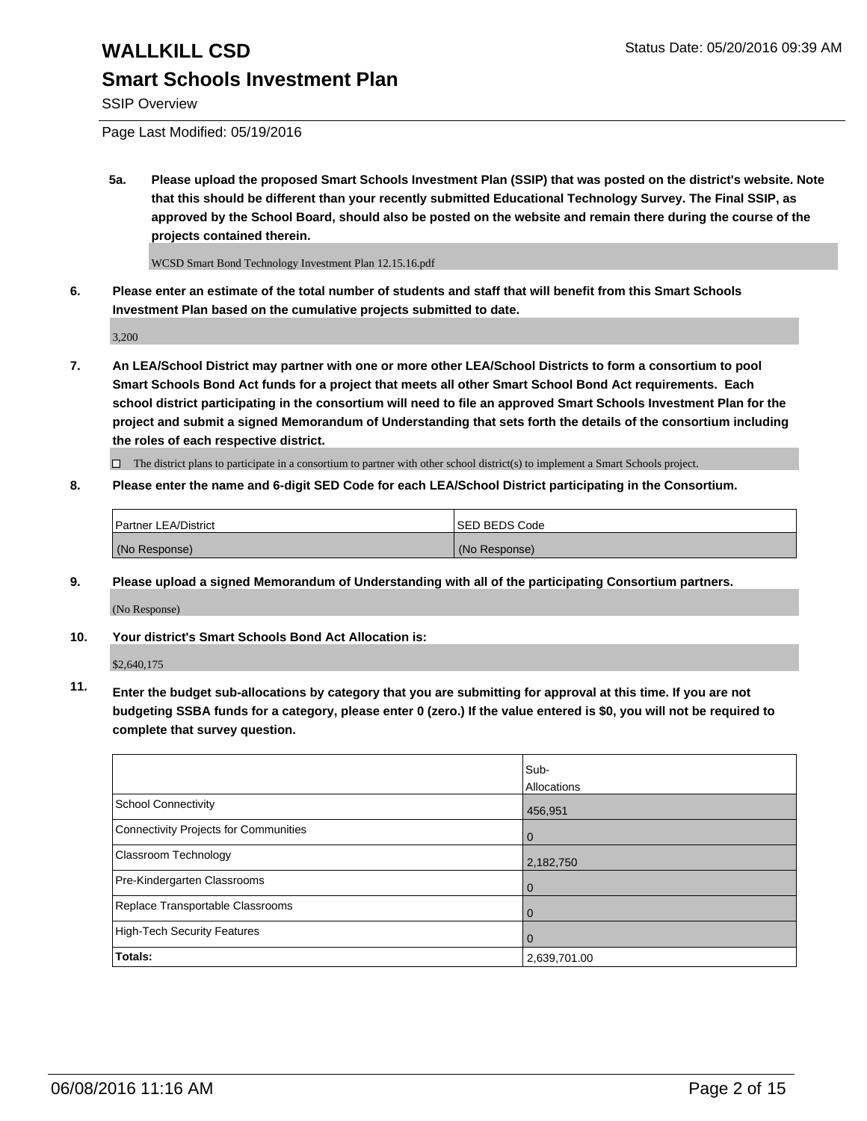SSIP Overview

Page Last Modified: 05/19/2016

**5a. Please upload the proposed Smart Schools Investment Plan (SSIP) that was posted on the district's website. Note that this should be different than your recently submitted Educational Technology Survey. The Final SSIP, as approved by the School Board, should also be posted on the website and remain there during the course of the projects contained therein.**

WCSD Smart Bond Technology Investment Plan 12.15.16.pdf

**6. Please enter an estimate of the total number of students and staff that will benefit from this Smart Schools Investment Plan based on the cumulative projects submitted to date.**

3,200

**7. An LEA/School District may partner with one or more other LEA/School Districts to form a consortium to pool Smart Schools Bond Act funds for a project that meets all other Smart School Bond Act requirements. Each school district participating in the consortium will need to file an approved Smart Schools Investment Plan for the project and submit a signed Memorandum of Understanding that sets forth the details of the consortium including the roles of each respective district.**

 $\Box$  The district plans to participate in a consortium to partner with other school district(s) to implement a Smart Schools project.

**8. Please enter the name and 6-digit SED Code for each LEA/School District participating in the Consortium.**

| <b>Partner LEA/District</b> | ISED BEDS Code |
|-----------------------------|----------------|
| (No Response)               | (No Response)  |

**9. Please upload a signed Memorandum of Understanding with all of the participating Consortium partners.** (No Response)

**10. Your district's Smart Schools Bond Act Allocation is:**

\$2,640,175

**11. Enter the budget sub-allocations by category that you are submitting for approval at this time. If you are not budgeting SSBA funds for a category, please enter 0 (zero.) If the value entered is \$0, you will not be required to complete that survey question.**

|                                       | Sub-         |
|---------------------------------------|--------------|
|                                       | Allocations  |
| <b>School Connectivity</b>            | 456,951      |
| Connectivity Projects for Communities | $\Omega$     |
| Classroom Technology                  | 2,182,750    |
| Pre-Kindergarten Classrooms           | $\Omega$     |
| Replace Transportable Classrooms      | $\Omega$     |
| High-Tech Security Features           | $\Omega$     |
| <b>Totals:</b>                        | 2,639,701.00 |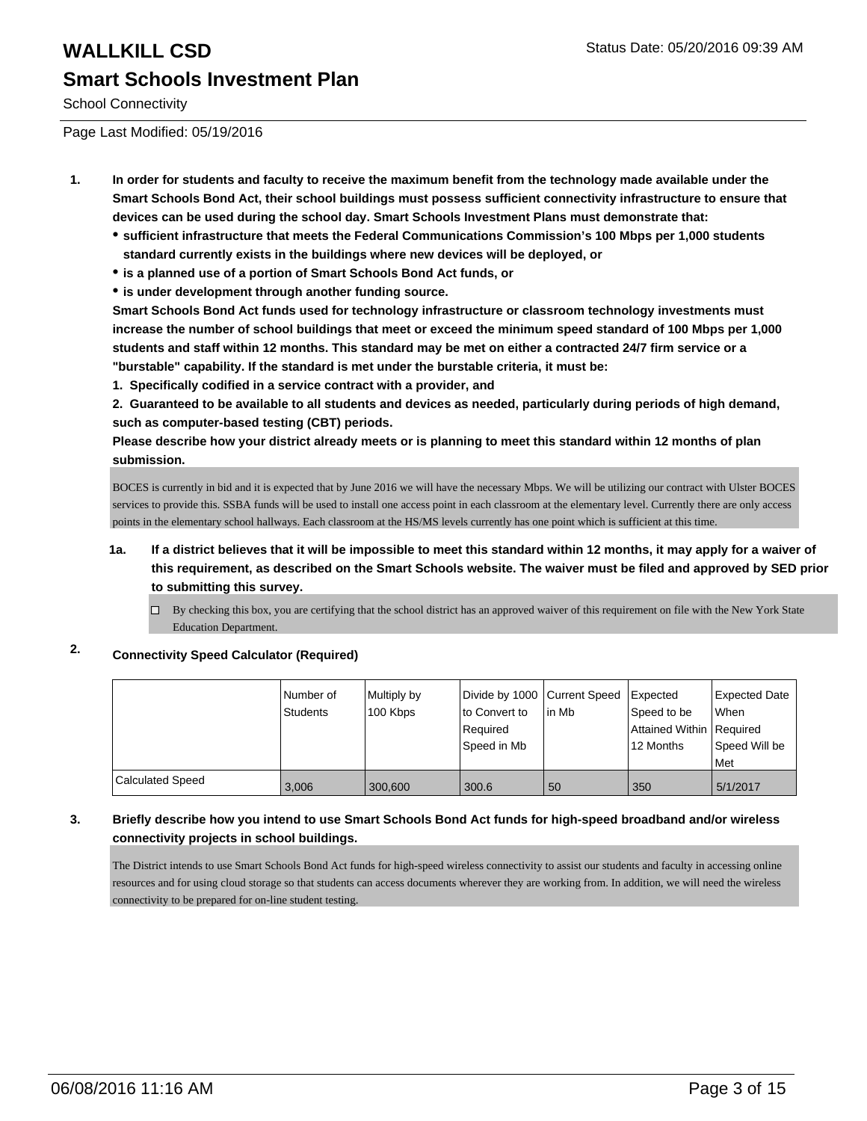School Connectivity

Page Last Modified: 05/19/2016

- **1. In order for students and faculty to receive the maximum benefit from the technology made available under the Smart Schools Bond Act, their school buildings must possess sufficient connectivity infrastructure to ensure that devices can be used during the school day. Smart Schools Investment Plans must demonstrate that:**
	- **sufficient infrastructure that meets the Federal Communications Commission's 100 Mbps per 1,000 students standard currently exists in the buildings where new devices will be deployed, or**
	- **is a planned use of a portion of Smart Schools Bond Act funds, or**
	- **is under development through another funding source.**

**Smart Schools Bond Act funds used for technology infrastructure or classroom technology investments must increase the number of school buildings that meet or exceed the minimum speed standard of 100 Mbps per 1,000 students and staff within 12 months. This standard may be met on either a contracted 24/7 firm service or a "burstable" capability. If the standard is met under the burstable criteria, it must be:**

**1. Specifically codified in a service contract with a provider, and**

**2. Guaranteed to be available to all students and devices as needed, particularly during periods of high demand, such as computer-based testing (CBT) periods.**

**Please describe how your district already meets or is planning to meet this standard within 12 months of plan submission.**

BOCES is currently in bid and it is expected that by June 2016 we will have the necessary Mbps. We will be utilizing our contract with Ulster BOCES services to provide this. SSBA funds will be used to install one access point in each classroom at the elementary level. Currently there are only access points in the elementary school hallways. Each classroom at the HS/MS levels currently has one point which is sufficient at this time.

- **1a. If a district believes that it will be impossible to meet this standard within 12 months, it may apply for a waiver of this requirement, as described on the Smart Schools website. The waiver must be filed and approved by SED prior to submitting this survey.**
	- $\Box$  By checking this box, you are certifying that the school district has an approved waiver of this requirement on file with the New York State Education Department.

## **2. Connectivity Speed Calculator (Required)**

|                  | l Number of<br>Students | Multiply by<br>100 Kbps | Divide by 1000 Current Speed<br>lto Convert to<br>Required<br>Speed in Mb | l in Mb | <b>I</b> Expected<br>Speed to be<br>Attained Within   Required<br>12 Months | Expected Date<br><b>When</b><br>Speed Will be<br>Met |
|------------------|-------------------------|-------------------------|---------------------------------------------------------------------------|---------|-----------------------------------------------------------------------------|------------------------------------------------------|
| Calculated Speed | 3.006                   | 300,600                 | 300.6                                                                     | 50      | 350                                                                         | 5/1/2017                                             |

## **3. Briefly describe how you intend to use Smart Schools Bond Act funds for high-speed broadband and/or wireless connectivity projects in school buildings.**

The District intends to use Smart Schools Bond Act funds for high-speed wireless connectivity to assist our students and faculty in accessing online resources and for using cloud storage so that students can access documents wherever they are working from. In addition, we will need the wireless connectivity to be prepared for on-line student testing.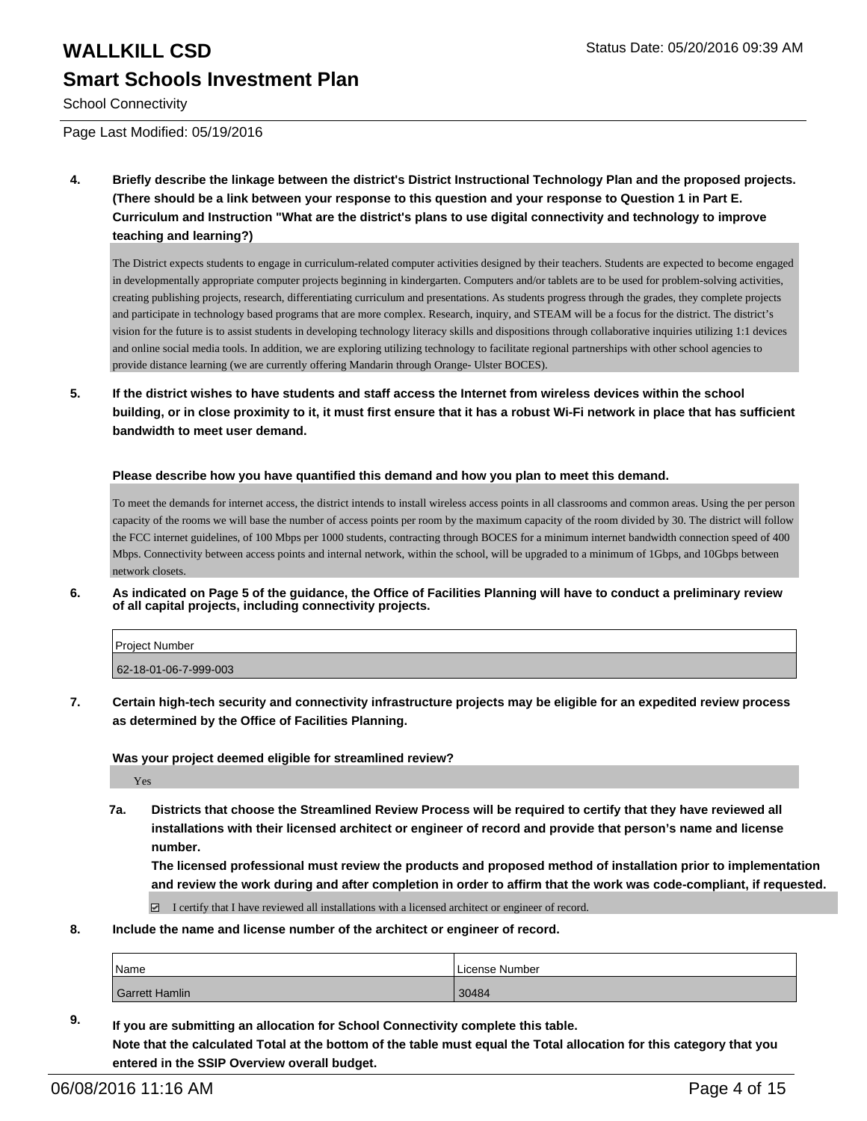School Connectivity

Page Last Modified: 05/19/2016

**4. Briefly describe the linkage between the district's District Instructional Technology Plan and the proposed projects. (There should be a link between your response to this question and your response to Question 1 in Part E. Curriculum and Instruction "What are the district's plans to use digital connectivity and technology to improve teaching and learning?)**

The District expects students to engage in curriculum-related computer activities designed by their teachers. Students are expected to become engaged in developmentally appropriate computer projects beginning in kindergarten. Computers and/or tablets are to be used for problem-solving activities, creating publishing projects, research, differentiating curriculum and presentations. As students progress through the grades, they complete projects and participate in technology based programs that are more complex. Research, inquiry, and STEAM will be a focus for the district. The district's vision for the future is to assist students in developing technology literacy skills and dispositions through collaborative inquiries utilizing 1:1 devices and online social media tools. In addition, we are exploring utilizing technology to facilitate regional partnerships with other school agencies to provide distance learning (we are currently offering Mandarin through Orange- Ulster BOCES).

**5. If the district wishes to have students and staff access the Internet from wireless devices within the school building, or in close proximity to it, it must first ensure that it has a robust Wi-Fi network in place that has sufficient bandwidth to meet user demand.**

### **Please describe how you have quantified this demand and how you plan to meet this demand.**

To meet the demands for internet access, the district intends to install wireless access points in all classrooms and common areas. Using the per person capacity of the rooms we will base the number of access points per room by the maximum capacity of the room divided by 30. The district will follow the FCC internet guidelines, of 100 Mbps per 1000 students, contracting through BOCES for a minimum internet bandwidth connection speed of 400 Mbps. Connectivity between access points and internal network, within the school, will be upgraded to a minimum of 1Gbps, and 10Gbps between network closets.

**6. As indicated on Page 5 of the guidance, the Office of Facilities Planning will have to conduct a preliminary review of all capital projects, including connectivity projects.**

| <b>Project Number</b> |  |
|-----------------------|--|
| 62-18-01-06-7-999-003 |  |

**7. Certain high-tech security and connectivity infrastructure projects may be eligible for an expedited review process as determined by the Office of Facilities Planning.**

**Was your project deemed eligible for streamlined review?**

Yes

**7a. Districts that choose the Streamlined Review Process will be required to certify that they have reviewed all installations with their licensed architect or engineer of record and provide that person's name and license number.**

**The licensed professional must review the products and proposed method of installation prior to implementation and review the work during and after completion in order to affirm that the work was code-compliant, if requested.**

 $\boxtimes$  I certify that I have reviewed all installations with a licensed architect or engineer of record.

**8. Include the name and license number of the architect or engineer of record.**

| Name           | License Number |
|----------------|----------------|
| Garrett Hamlin | 30484          |

**9. If you are submitting an allocation for School Connectivity complete this table. Note that the calculated Total at the bottom of the table must equal the Total allocation for this category that you entered in the SSIP Overview overall budget.**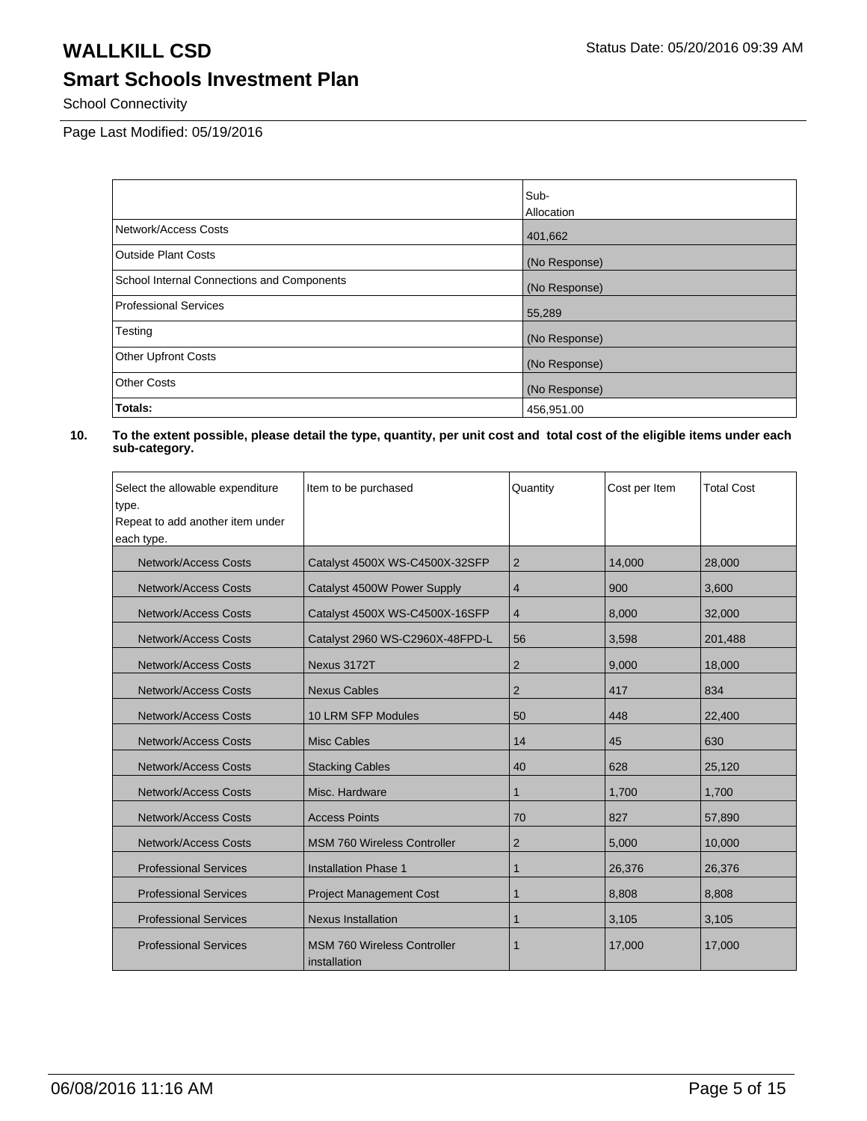School Connectivity

Page Last Modified: 05/19/2016

|                                            | Sub-          |
|--------------------------------------------|---------------|
|                                            | Allocation    |
| Network/Access Costs                       | 401,662       |
| <b>Outside Plant Costs</b>                 | (No Response) |
| School Internal Connections and Components | (No Response) |
| <b>Professional Services</b>               | 55,289        |
| Testing                                    | (No Response) |
| <b>Other Upfront Costs</b>                 | (No Response) |
| <b>Other Costs</b>                         | (No Response) |
| Totals:                                    | 456,951.00    |

| Select the allowable expenditure | Item to be purchased                               | Quantity       | Cost per Item | <b>Total Cost</b> |
|----------------------------------|----------------------------------------------------|----------------|---------------|-------------------|
| type.                            |                                                    |                |               |                   |
| Repeat to add another item under |                                                    |                |               |                   |
| each type.                       |                                                    |                |               |                   |
| <b>Network/Access Costs</b>      | Catalyst 4500X WS-C4500X-32SFP                     | 2              | 14.000        | 28,000            |
| Network/Access Costs             | Catalyst 4500W Power Supply                        | 4              | 900           | 3,600             |
| <b>Network/Access Costs</b>      | Catalyst 4500X WS-C4500X-16SFP                     | 4              | 8,000         | 32,000            |
| Network/Access Costs             | Catalyst 2960 WS-C2960X-48FPD-L                    | 56             | 3,598         | 201,488           |
| Network/Access Costs             | Nexus 3172T                                        | $\overline{2}$ | 9,000         | 18,000            |
| Network/Access Costs             | <b>Nexus Cables</b>                                | $\overline{2}$ | 417           | 834               |
| Network/Access Costs             | 10 LRM SFP Modules                                 | 50             | 448           | 22,400            |
| Network/Access Costs             | Misc Cables                                        | 14             | 45            | 630               |
| <b>Network/Access Costs</b>      | <b>Stacking Cables</b>                             | 40             | 628           | 25,120            |
| <b>Network/Access Costs</b>      | Misc. Hardware                                     | 1              | 1,700         | 1,700             |
| <b>Network/Access Costs</b>      | <b>Access Points</b>                               | 70             | 827           | 57,890            |
| <b>Network/Access Costs</b>      | <b>MSM 760 Wireless Controller</b>                 | 2              | 5,000         | 10,000            |
| <b>Professional Services</b>     | <b>Installation Phase 1</b>                        | 1              | 26,376        | 26,376            |
| <b>Professional Services</b>     | <b>Project Management Cost</b>                     | 1              | 8,808         | 8,808             |
| <b>Professional Services</b>     | <b>Nexus Installation</b>                          | 1              | 3,105         | 3,105             |
| <b>Professional Services</b>     | <b>MSM 760 Wireless Controller</b><br>installation | 1              | 17,000        | 17,000            |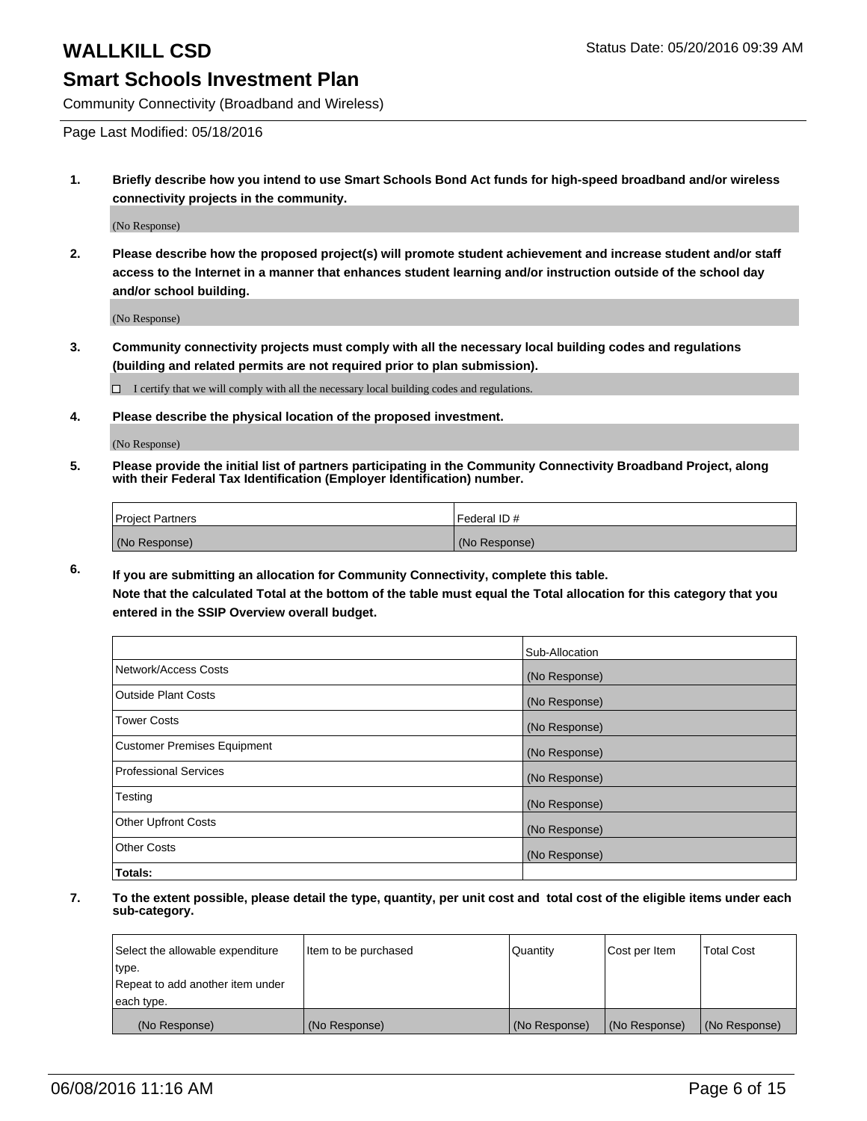Community Connectivity (Broadband and Wireless)

Page Last Modified: 05/18/2016

**1. Briefly describe how you intend to use Smart Schools Bond Act funds for high-speed broadband and/or wireless connectivity projects in the community.**

(No Response)

**2. Please describe how the proposed project(s) will promote student achievement and increase student and/or staff access to the Internet in a manner that enhances student learning and/or instruction outside of the school day and/or school building.**

(No Response)

**3. Community connectivity projects must comply with all the necessary local building codes and regulations (building and related permits are not required prior to plan submission).**

 $\Box$  I certify that we will comply with all the necessary local building codes and regulations.

**4. Please describe the physical location of the proposed investment.**

(No Response)

**5. Please provide the initial list of partners participating in the Community Connectivity Broadband Project, along with their Federal Tax Identification (Employer Identification) number.**

| Project Partners | <b>IFederal ID#</b> |
|------------------|---------------------|
| (No Response)    | (No Response)       |

**6. If you are submitting an allocation for Community Connectivity, complete this table.**

**Note that the calculated Total at the bottom of the table must equal the Total allocation for this category that you entered in the SSIP Overview overall budget.**

|                                    | Sub-Allocation |
|------------------------------------|----------------|
| Network/Access Costs               | (No Response)  |
| <b>Outside Plant Costs</b>         | (No Response)  |
| <b>Tower Costs</b>                 | (No Response)  |
| <b>Customer Premises Equipment</b> | (No Response)  |
| Professional Services              | (No Response)  |
| Testing                            | (No Response)  |
| <b>Other Upfront Costs</b>         | (No Response)  |
| Other Costs                        | (No Response)  |
| Totals:                            |                |

| Select the allowable expenditure | Item to be purchased | Quantity      | Cost per Item | <b>Total Cost</b> |
|----------------------------------|----------------------|---------------|---------------|-------------------|
| type.                            |                      |               |               |                   |
| Repeat to add another item under |                      |               |               |                   |
| each type.                       |                      |               |               |                   |
| (No Response)                    | (No Response)        | (No Response) | (No Response) | (No Response)     |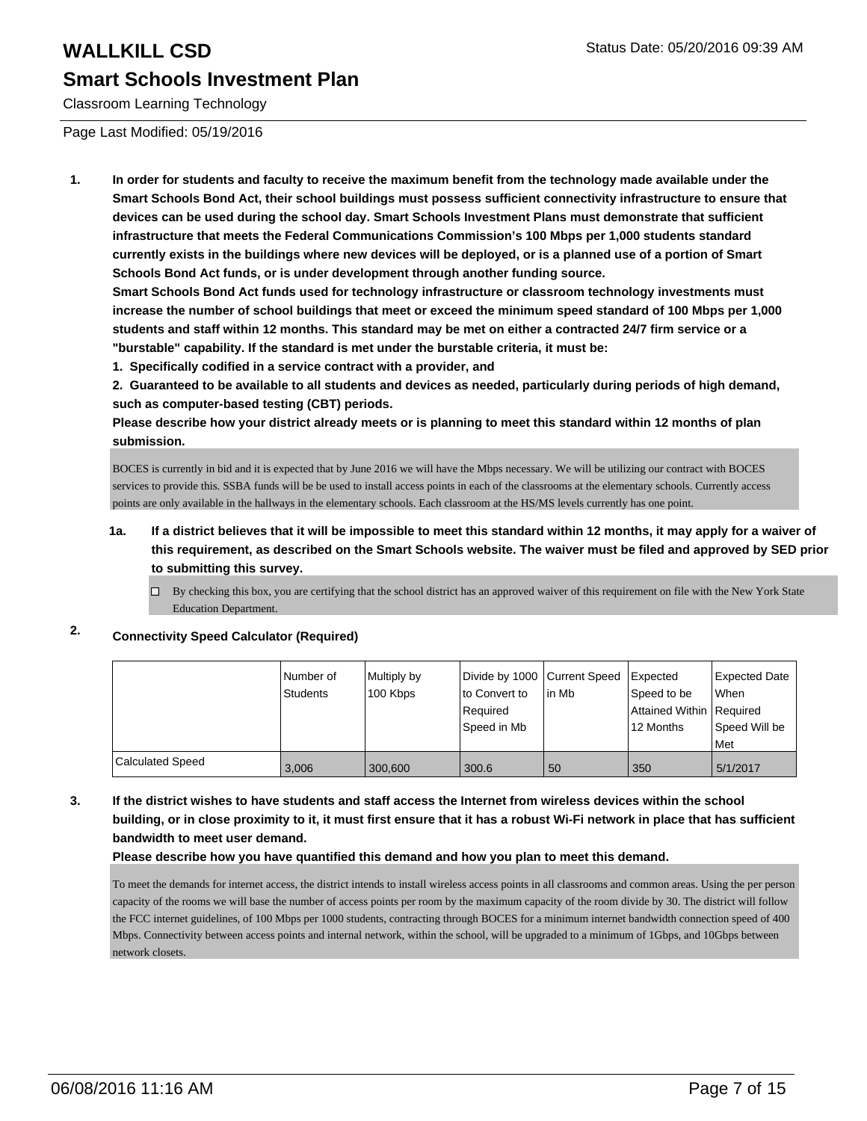Classroom Learning Technology

Page Last Modified: 05/19/2016

**1. In order for students and faculty to receive the maximum benefit from the technology made available under the Smart Schools Bond Act, their school buildings must possess sufficient connectivity infrastructure to ensure that devices can be used during the school day. Smart Schools Investment Plans must demonstrate that sufficient infrastructure that meets the Federal Communications Commission's 100 Mbps per 1,000 students standard currently exists in the buildings where new devices will be deployed, or is a planned use of a portion of Smart Schools Bond Act funds, or is under development through another funding source.**

**Smart Schools Bond Act funds used for technology infrastructure or classroom technology investments must increase the number of school buildings that meet or exceed the minimum speed standard of 100 Mbps per 1,000 students and staff within 12 months. This standard may be met on either a contracted 24/7 firm service or a "burstable" capability. If the standard is met under the burstable criteria, it must be:**

**1. Specifically codified in a service contract with a provider, and**

**2. Guaranteed to be available to all students and devices as needed, particularly during periods of high demand, such as computer-based testing (CBT) periods.**

**Please describe how your district already meets or is planning to meet this standard within 12 months of plan submission.**

BOCES is currently in bid and it is expected that by June 2016 we will have the Mbps necessary. We will be utilizing our contract with BOCES services to provide this. SSBA funds will be be used to install access points in each of the classrooms at the elementary schools. Currently access points are only available in the hallways in the elementary schools. Each classroom at the HS/MS levels currently has one point.

- **1a. If a district believes that it will be impossible to meet this standard within 12 months, it may apply for a waiver of this requirement, as described on the Smart Schools website. The waiver must be filed and approved by SED prior to submitting this survey.**
	- $\Box$  By checking this box, you are certifying that the school district has an approved waiver of this requirement on file with the New York State Education Department.

## **2. Connectivity Speed Calculator (Required)**

|                  | Number of<br>Students | Multiply by | Divide by 1000 Current Speed<br>lto Convert to | lin Mb | <b>Expected</b>                           | <b>Expected Date</b><br>When |
|------------------|-----------------------|-------------|------------------------------------------------|--------|-------------------------------------------|------------------------------|
|                  |                       | 100 Kbps    | Required                                       |        | Speed to be<br>Attained Within   Required |                              |
|                  |                       |             | l Speed in Mb                                  |        | 12 Months                                 | Speed Will be<br>Met         |
| Calculated Speed | 3.006                 | 300,600     | 300.6                                          | 50     | 350                                       | 5/1/2017                     |

## **3. If the district wishes to have students and staff access the Internet from wireless devices within the school building, or in close proximity to it, it must first ensure that it has a robust Wi-Fi network in place that has sufficient bandwidth to meet user demand.**

### **Please describe how you have quantified this demand and how you plan to meet this demand.**

To meet the demands for internet access, the district intends to install wireless access points in all classrooms and common areas. Using the per person capacity of the rooms we will base the number of access points per room by the maximum capacity of the room divide by 30. The district will follow the FCC internet guidelines, of 100 Mbps per 1000 students, contracting through BOCES for a minimum internet bandwidth connection speed of 400 Mbps. Connectivity between access points and internal network, within the school, will be upgraded to a minimum of 1Gbps, and 10Gbps between network closets.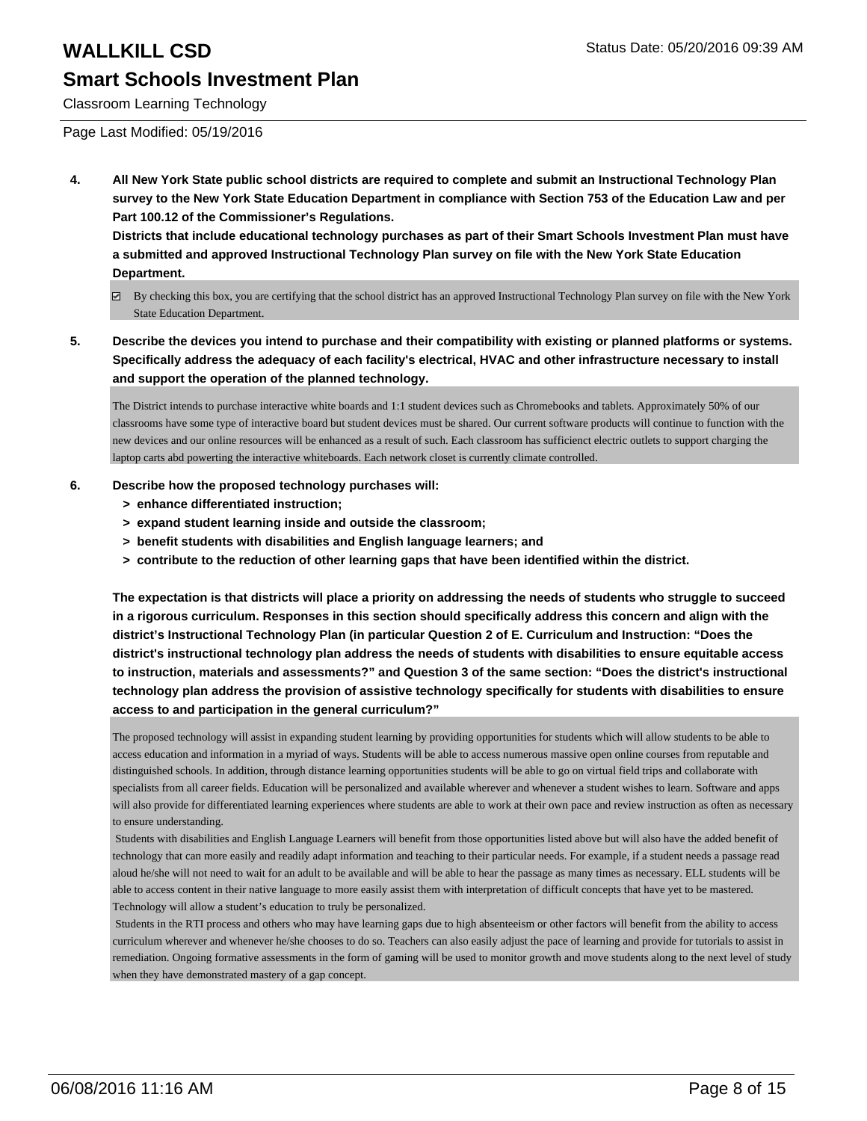Classroom Learning Technology

### Page Last Modified: 05/19/2016

**4. All New York State public school districts are required to complete and submit an Instructional Technology Plan survey to the New York State Education Department in compliance with Section 753 of the Education Law and per Part 100.12 of the Commissioner's Regulations.**

**Districts that include educational technology purchases as part of their Smart Schools Investment Plan must have a submitted and approved Instructional Technology Plan survey on file with the New York State Education Department.**

- By checking this box, you are certifying that the school district has an approved Instructional Technology Plan survey on file with the New York State Education Department.
- **5. Describe the devices you intend to purchase and their compatibility with existing or planned platforms or systems. Specifically address the adequacy of each facility's electrical, HVAC and other infrastructure necessary to install and support the operation of the planned technology.**

The District intends to purchase interactive white boards and 1:1 student devices such as Chromebooks and tablets. Approximately 50% of our classrooms have some type of interactive board but student devices must be shared. Our current software products will continue to function with the new devices and our online resources will be enhanced as a result of such. Each classroom has sufficienct electric outlets to support charging the laptop carts abd powerting the interactive whiteboards. Each network closet is currently climate controlled.

## **6. Describe how the proposed technology purchases will:**

- **> enhance differentiated instruction;**
- **> expand student learning inside and outside the classroom;**
- **> benefit students with disabilities and English language learners; and**
- **> contribute to the reduction of other learning gaps that have been identified within the district.**

**The expectation is that districts will place a priority on addressing the needs of students who struggle to succeed in a rigorous curriculum. Responses in this section should specifically address this concern and align with the district's Instructional Technology Plan (in particular Question 2 of E. Curriculum and Instruction: "Does the district's instructional technology plan address the needs of students with disabilities to ensure equitable access to instruction, materials and assessments?" and Question 3 of the same section: "Does the district's instructional technology plan address the provision of assistive technology specifically for students with disabilities to ensure access to and participation in the general curriculum?"**

The proposed technology will assist in expanding student learning by providing opportunities for students which will allow students to be able to access education and information in a myriad of ways. Students will be able to access numerous massive open online courses from reputable and distinguished schools. In addition, through distance learning opportunities students will be able to go on virtual field trips and collaborate with specialists from all career fields. Education will be personalized and available wherever and whenever a student wishes to learn. Software and apps will also provide for differentiated learning experiences where students are able to work at their own pace and review instruction as often as necessary to ensure understanding.

 Students with disabilities and English Language Learners will benefit from those opportunities listed above but will also have the added benefit of technology that can more easily and readily adapt information and teaching to their particular needs. For example, if a student needs a passage read aloud he/she will not need to wait for an adult to be available and will be able to hear the passage as many times as necessary. ELL students will be able to access content in their native language to more easily assist them with interpretation of difficult concepts that have yet to be mastered. Technology will allow a student's education to truly be personalized.

 Students in the RTI process and others who may have learning gaps due to high absenteeism or other factors will benefit from the ability to access curriculum wherever and whenever he/she chooses to do so. Teachers can also easily adjust the pace of learning and provide for tutorials to assist in remediation. Ongoing formative assessments in the form of gaming will be used to monitor growth and move students along to the next level of study when they have demonstrated mastery of a gap concept.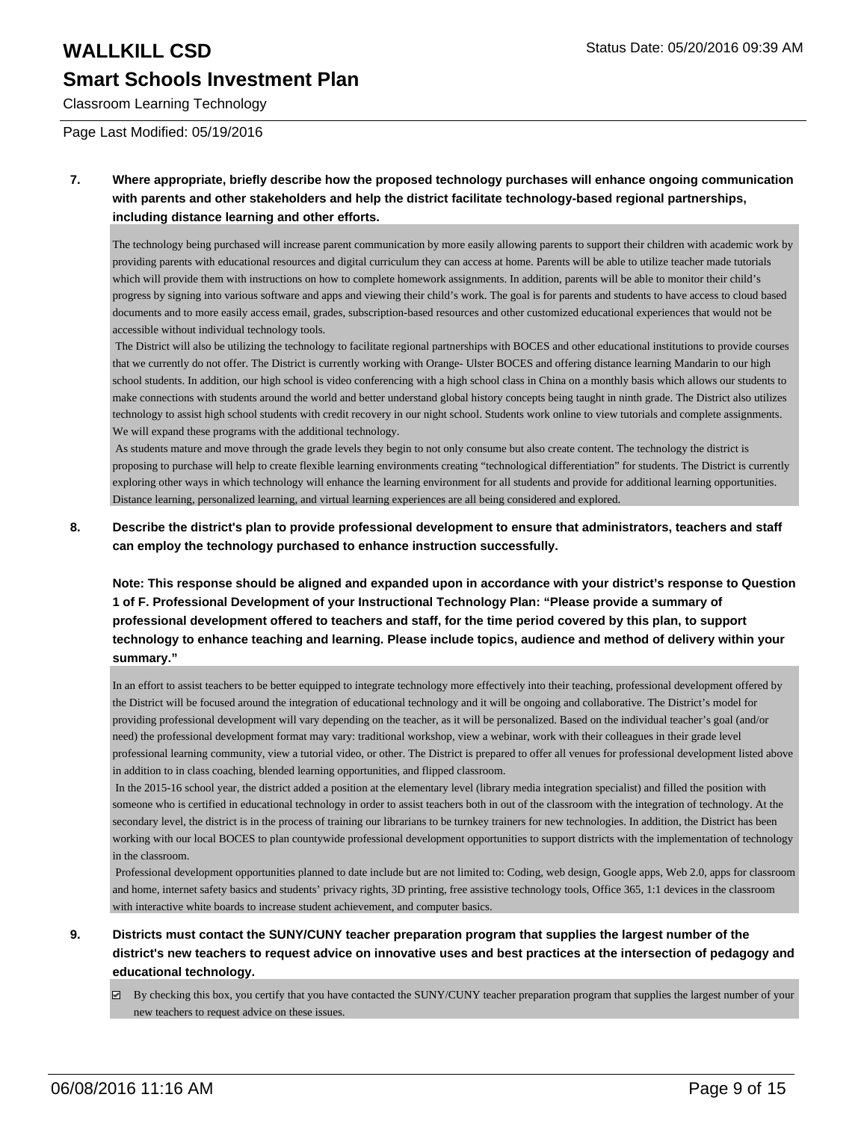## Classroom Learning Technology

Page Last Modified: 05/19/2016

**7. Where appropriate, briefly describe how the proposed technology purchases will enhance ongoing communication with parents and other stakeholders and help the district facilitate technology-based regional partnerships, including distance learning and other efforts.**

The technology being purchased will increase parent communication by more easily allowing parents to support their children with academic work by providing parents with educational resources and digital curriculum they can access at home. Parents will be able to utilize teacher made tutorials which will provide them with instructions on how to complete homework assignments. In addition, parents will be able to monitor their child's progress by signing into various software and apps and viewing their child's work. The goal is for parents and students to have access to cloud based documents and to more easily access email, grades, subscription-based resources and other customized educational experiences that would not be accessible without individual technology tools.

 The District will also be utilizing the technology to facilitate regional partnerships with BOCES and other educational institutions to provide courses that we currently do not offer. The District is currently working with Orange- Ulster BOCES and offering distance learning Mandarin to our high school students. In addition, our high school is video conferencing with a high school class in China on a monthly basis which allows our students to make connections with students around the world and better understand global history concepts being taught in ninth grade. The District also utilizes technology to assist high school students with credit recovery in our night school. Students work online to view tutorials and complete assignments. We will expand these programs with the additional technology.

 As students mature and move through the grade levels they begin to not only consume but also create content. The technology the district is proposing to purchase will help to create flexible learning environments creating "technological differentiation" for students. The District is currently exploring other ways in which technology will enhance the learning environment for all students and provide for additional learning opportunities. Distance learning, personalized learning, and virtual learning experiences are all being considered and explored.

**8. Describe the district's plan to provide professional development to ensure that administrators, teachers and staff can employ the technology purchased to enhance instruction successfully.**

**Note: This response should be aligned and expanded upon in accordance with your district's response to Question 1 of F. Professional Development of your Instructional Technology Plan: "Please provide a summary of professional development offered to teachers and staff, for the time period covered by this plan, to support technology to enhance teaching and learning. Please include topics, audience and method of delivery within your summary."**

In an effort to assist teachers to be better equipped to integrate technology more effectively into their teaching, professional development offered by the District will be focused around the integration of educational technology and it will be ongoing and collaborative. The District's model for providing professional development will vary depending on the teacher, as it will be personalized. Based on the individual teacher's goal (and/or need) the professional development format may vary: traditional workshop, view a webinar, work with their colleagues in their grade level professional learning community, view a tutorial video, or other. The District is prepared to offer all venues for professional development listed above in addition to in class coaching, blended learning opportunities, and flipped classroom.

 In the 2015-16 school year, the district added a position at the elementary level (library media integration specialist) and filled the position with someone who is certified in educational technology in order to assist teachers both in out of the classroom with the integration of technology. At the secondary level, the district is in the process of training our librarians to be turnkey trainers for new technologies. In addition, the District has been working with our local BOCES to plan countywide professional development opportunities to support districts with the implementation of technology in the classroom.

 Professional development opportunities planned to date include but are not limited to: Coding, web design, Google apps, Web 2.0, apps for classroom and home, internet safety basics and students' privacy rights, 3D printing, free assistive technology tools, Office 365, 1:1 devices in the classroom with interactive white boards to increase student achievement, and computer basics.

- **9. Districts must contact the SUNY/CUNY teacher preparation program that supplies the largest number of the district's new teachers to request advice on innovative uses and best practices at the intersection of pedagogy and educational technology.**
	- $\boxtimes$  By checking this box, you certify that you have contacted the SUNY/CUNY teacher preparation program that supplies the largest number of your new teachers to request advice on these issues.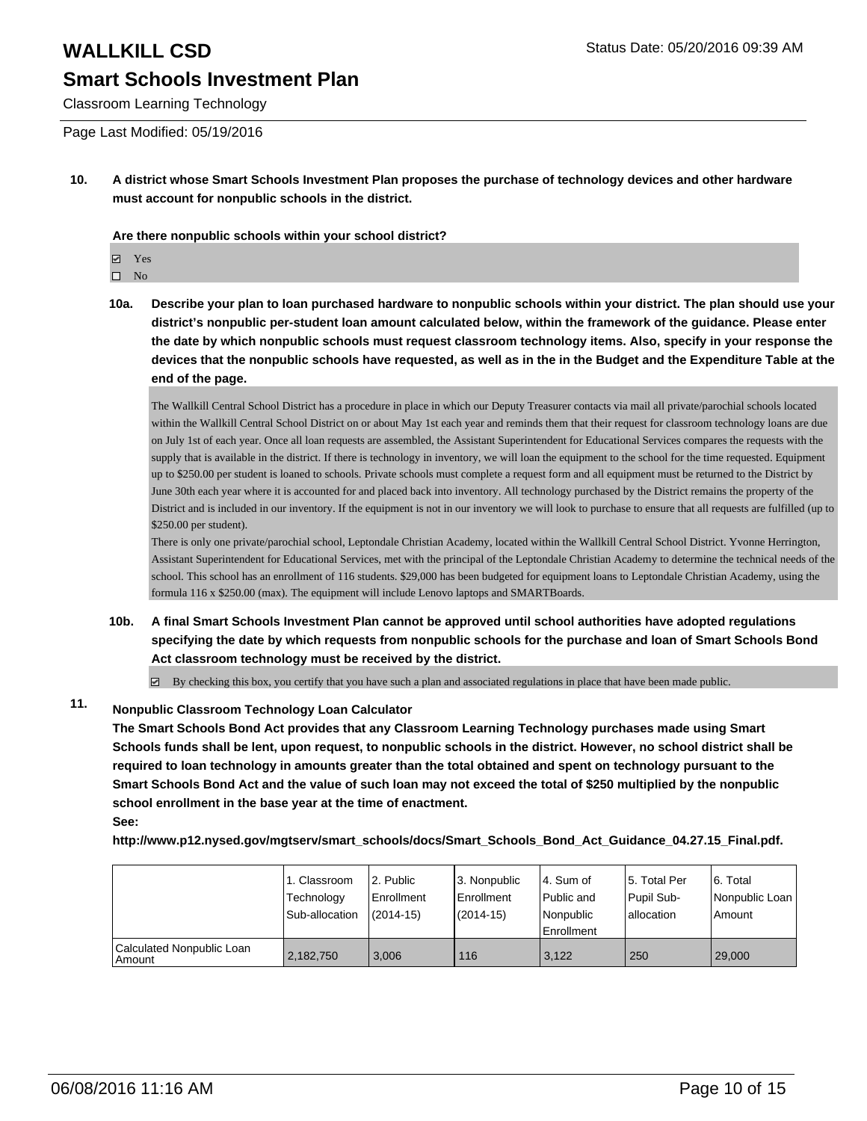Classroom Learning Technology

Page Last Modified: 05/19/2016

**10. A district whose Smart Schools Investment Plan proposes the purchase of technology devices and other hardware must account for nonpublic schools in the district.**

**Are there nonpublic schools within your school district?**

Yes

 $\square$  No

**10a. Describe your plan to loan purchased hardware to nonpublic schools within your district. The plan should use your district's nonpublic per-student loan amount calculated below, within the framework of the guidance. Please enter the date by which nonpublic schools must request classroom technology items. Also, specify in your response the devices that the nonpublic schools have requested, as well as in the in the Budget and the Expenditure Table at the end of the page.**

The Wallkill Central School District has a procedure in place in which our Deputy Treasurer contacts via mail all private/parochial schools located within the Wallkill Central School District on or about May 1st each year and reminds them that their request for classroom technology loans are due on July 1st of each year. Once all loan requests are assembled, the Assistant Superintendent for Educational Services compares the requests with the supply that is available in the district. If there is technology in inventory, we will loan the equipment to the school for the time requested. Equipment up to \$250.00 per student is loaned to schools. Private schools must complete a request form and all equipment must be returned to the District by June 30th each year where it is accounted for and placed back into inventory. All technology purchased by the District remains the property of the District and is included in our inventory. If the equipment is not in our inventory we will look to purchase to ensure that all requests are fulfilled (up to \$250.00 per student).

There is only one private/parochial school, Leptondale Christian Academy, located within the Wallkill Central School District. Yvonne Herrington, Assistant Superintendent for Educational Services, met with the principal of the Leptondale Christian Academy to determine the technical needs of the school. This school has an enrollment of 116 students. \$29,000 has been budgeted for equipment loans to Leptondale Christian Academy, using the formula 116 x \$250.00 (max). The equipment will include Lenovo laptops and SMARTBoards.

**10b. A final Smart Schools Investment Plan cannot be approved until school authorities have adopted regulations specifying the date by which requests from nonpublic schools for the purchase and loan of Smart Schools Bond Act classroom technology must be received by the district.**

 $\boxtimes$  By checking this box, you certify that you have such a plan and associated regulations in place that have been made public.

## **11. Nonpublic Classroom Technology Loan Calculator**

**The Smart Schools Bond Act provides that any Classroom Learning Technology purchases made using Smart Schools funds shall be lent, upon request, to nonpublic schools in the district. However, no school district shall be required to loan technology in amounts greater than the total obtained and spent on technology pursuant to the Smart Schools Bond Act and the value of such loan may not exceed the total of \$250 multiplied by the nonpublic school enrollment in the base year at the time of enactment. See:**

**http://www.p12.nysed.gov/mgtserv/smart\_schools/docs/Smart\_Schools\_Bond\_Act\_Guidance\_04.27.15\_Final.pdf.**

|                                         | 1. Classroom<br>Technology<br>Sub-allocation | 2. Public<br>Enrollment<br>$(2014-15)$ | 3. Nonpublic<br>Enrollment<br>(2014-15) | l 4. Sum of<br>l Public and<br>l Nonpublic<br><b>Enrollment</b> | 5. Total Per<br>Pupil Sub-<br>lallocation | 6. Total<br>l Nonpublic Loan<br>Amount |
|-----------------------------------------|----------------------------------------------|----------------------------------------|-----------------------------------------|-----------------------------------------------------------------|-------------------------------------------|----------------------------------------|
| Calculated Nonpublic Loan<br>l Amount i | 2,182,750                                    | 3.006                                  | 116                                     | 3.122                                                           | 250                                       | 29,000                                 |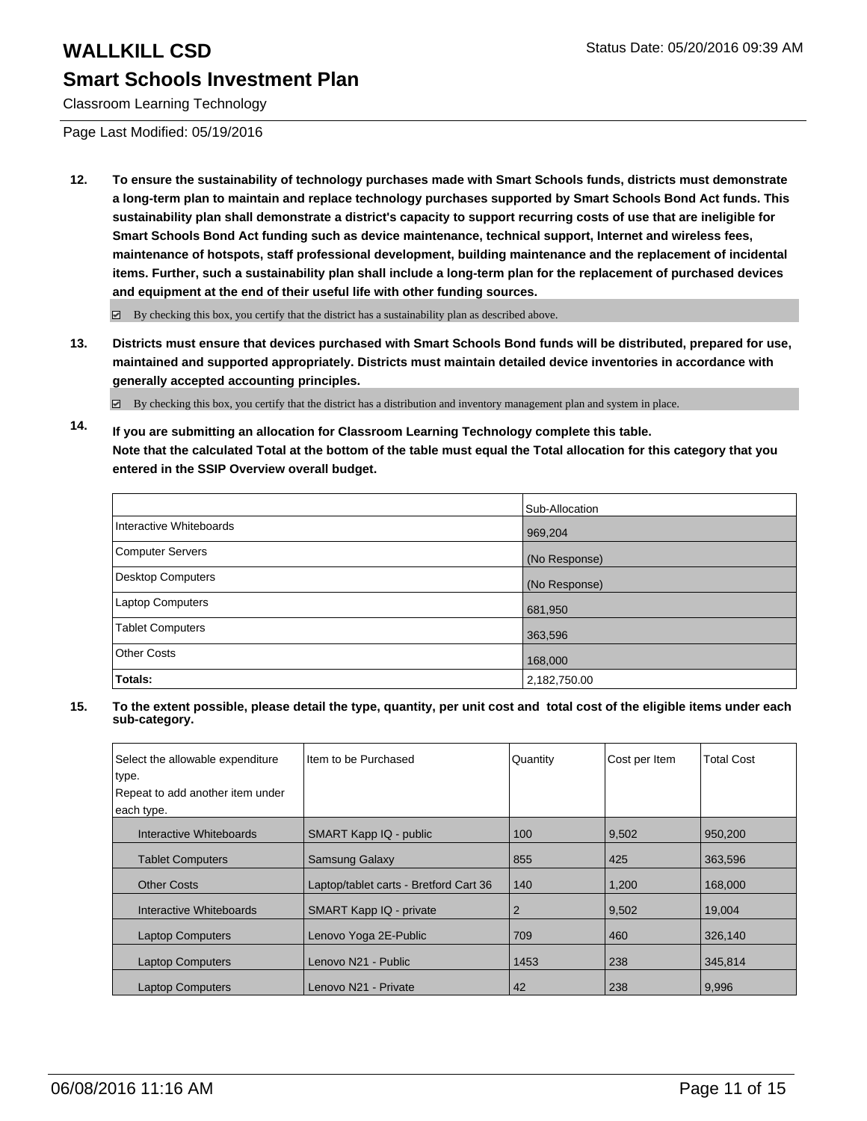Classroom Learning Technology

Page Last Modified: 05/19/2016

**12. To ensure the sustainability of technology purchases made with Smart Schools funds, districts must demonstrate a long-term plan to maintain and replace technology purchases supported by Smart Schools Bond Act funds. This sustainability plan shall demonstrate a district's capacity to support recurring costs of use that are ineligible for Smart Schools Bond Act funding such as device maintenance, technical support, Internet and wireless fees, maintenance of hotspots, staff professional development, building maintenance and the replacement of incidental items. Further, such a sustainability plan shall include a long-term plan for the replacement of purchased devices and equipment at the end of their useful life with other funding sources.**

By checking this box, you certify that the district has a sustainability plan as described above.

**13. Districts must ensure that devices purchased with Smart Schools Bond funds will be distributed, prepared for use, maintained and supported appropriately. Districts must maintain detailed device inventories in accordance with generally accepted accounting principles.**

 $\boxtimes$  By checking this box, you certify that the district has a distribution and inventory management plan and system in place.

**14. If you are submitting an allocation for Classroom Learning Technology complete this table. Note that the calculated Total at the bottom of the table must equal the Total allocation for this category that you entered in the SSIP Overview overall budget.**

|                         | Sub-Allocation |
|-------------------------|----------------|
| Interactive Whiteboards | 969,204        |
| Computer Servers        | (No Response)  |
| Desktop Computers       | (No Response)  |
| Laptop Computers        | 681,950        |
| <b>Tablet Computers</b> | 363,596        |
| Other Costs             | 168,000        |
| Totals:                 | 2,182,750.00   |

| Select the allowable expenditure<br>type. | Item to be Purchased                   | Quantity | Cost per Item | <b>Total Cost</b> |
|-------------------------------------------|----------------------------------------|----------|---------------|-------------------|
| Repeat to add another item under          |                                        |          |               |                   |
| each type.                                |                                        |          |               |                   |
|                                           |                                        |          |               |                   |
| Interactive Whiteboards                   | SMART Kapp IQ - public                 | 100      | 9,502         | 950,200           |
| <b>Tablet Computers</b>                   | <b>Samsung Galaxy</b>                  | 855      | 425           | 363,596           |
| <b>Other Costs</b>                        | Laptop/tablet carts - Bretford Cart 36 | 140      | 1,200         | 168,000           |
| Interactive Whiteboards                   | SMART Kapp IQ - private                | 2        | 9,502         | 19,004            |
| <b>Laptop Computers</b>                   | Lenovo Yoga 2E-Public                  | 709      | 460           | 326,140           |
| <b>Laptop Computers</b>                   | Lenovo N21 - Public                    | 1453     | 238           | 345.814           |
| <b>Laptop Computers</b>                   | Lenovo N21 - Private                   | 42       | 238           | 9,996             |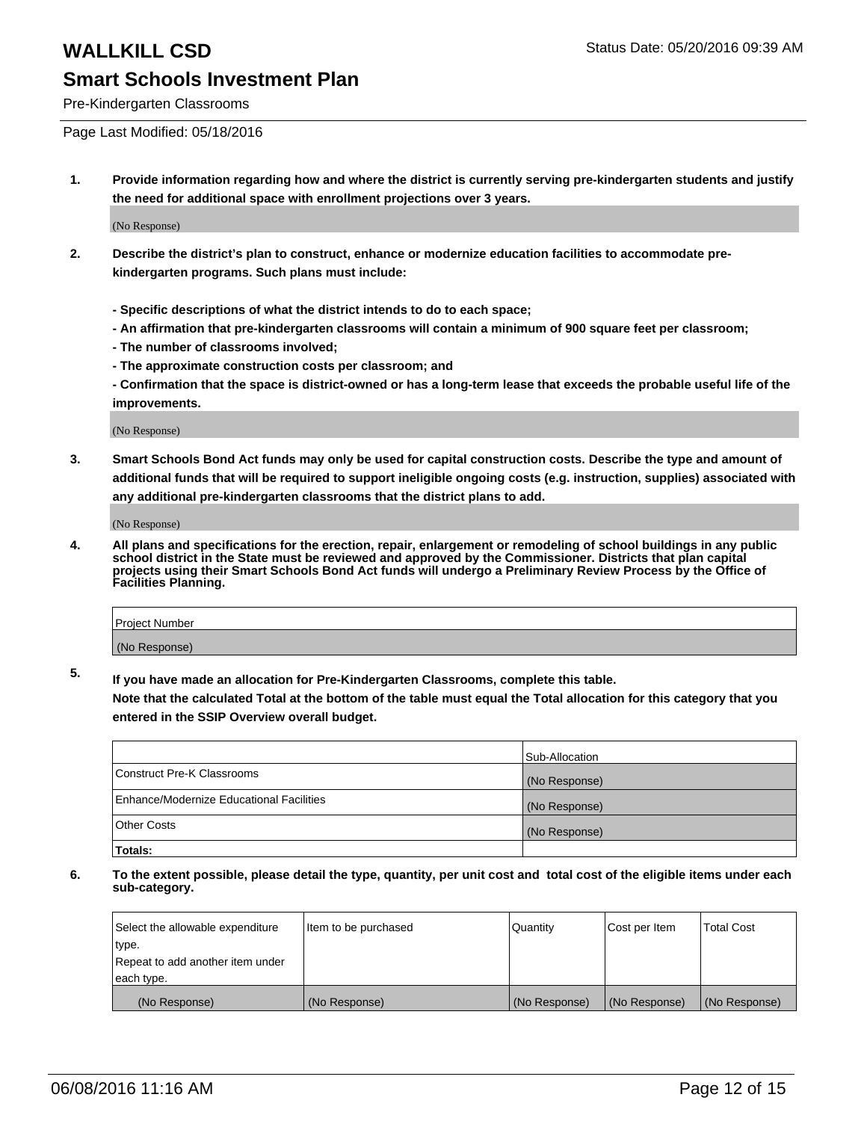Pre-Kindergarten Classrooms

Page Last Modified: 05/18/2016

**1. Provide information regarding how and where the district is currently serving pre-kindergarten students and justify the need for additional space with enrollment projections over 3 years.**

(No Response)

- **2. Describe the district's plan to construct, enhance or modernize education facilities to accommodate prekindergarten programs. Such plans must include:**
	- **Specific descriptions of what the district intends to do to each space;**
	- **An affirmation that pre-kindergarten classrooms will contain a minimum of 900 square feet per classroom;**
	- **The number of classrooms involved;**
	- **The approximate construction costs per classroom; and**
	- **Confirmation that the space is district-owned or has a long-term lease that exceeds the probable useful life of the improvements.**

(No Response)

**3. Smart Schools Bond Act funds may only be used for capital construction costs. Describe the type and amount of additional funds that will be required to support ineligible ongoing costs (e.g. instruction, supplies) associated with any additional pre-kindergarten classrooms that the district plans to add.**

(No Response)

**4. All plans and specifications for the erection, repair, enlargement or remodeling of school buildings in any public school district in the State must be reviewed and approved by the Commissioner. Districts that plan capital projects using their Smart Schools Bond Act funds will undergo a Preliminary Review Process by the Office of Facilities Planning.**

| Project Number |  |
|----------------|--|
| (No Response)  |  |

**5. If you have made an allocation for Pre-Kindergarten Classrooms, complete this table.**

**Note that the calculated Total at the bottom of the table must equal the Total allocation for this category that you entered in the SSIP Overview overall budget.**

|                                          | Sub-Allocation |
|------------------------------------------|----------------|
| Construct Pre-K Classrooms               | (No Response)  |
| Enhance/Modernize Educational Facilities | (No Response)  |
| Other Costs                              | (No Response)  |
| Totals:                                  |                |

| Select the allowable expenditure | Item to be purchased | Quantity      | Cost per Item | <b>Total Cost</b> |
|----------------------------------|----------------------|---------------|---------------|-------------------|
| type.                            |                      |               |               |                   |
| Repeat to add another item under |                      |               |               |                   |
| each type.                       |                      |               |               |                   |
| (No Response)                    | (No Response)        | (No Response) | (No Response) | (No Response)     |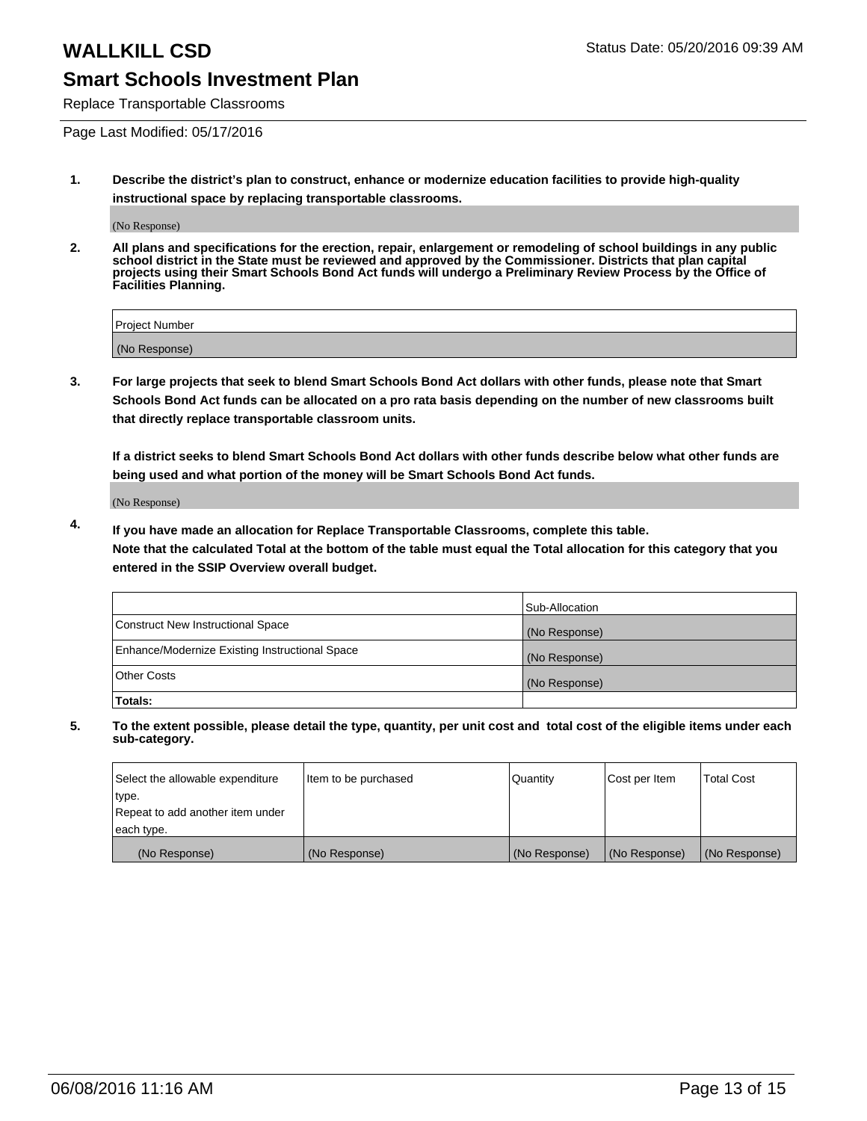Replace Transportable Classrooms

Page Last Modified: 05/17/2016

**1. Describe the district's plan to construct, enhance or modernize education facilities to provide high-quality instructional space by replacing transportable classrooms.**

(No Response)

**2. All plans and specifications for the erection, repair, enlargement or remodeling of school buildings in any public school district in the State must be reviewed and approved by the Commissioner. Districts that plan capital projects using their Smart Schools Bond Act funds will undergo a Preliminary Review Process by the Office of Facilities Planning.**

| <b>Project Number</b> |  |
|-----------------------|--|
| (No Response)         |  |

**3. For large projects that seek to blend Smart Schools Bond Act dollars with other funds, please note that Smart Schools Bond Act funds can be allocated on a pro rata basis depending on the number of new classrooms built that directly replace transportable classroom units.**

**If a district seeks to blend Smart Schools Bond Act dollars with other funds describe below what other funds are being used and what portion of the money will be Smart Schools Bond Act funds.**

(No Response)

**4. If you have made an allocation for Replace Transportable Classrooms, complete this table. Note that the calculated Total at the bottom of the table must equal the Total allocation for this category that you entered in the SSIP Overview overall budget.**

|                                                | Sub-Allocation |
|------------------------------------------------|----------------|
| Construct New Instructional Space              | (No Response)  |
| Enhance/Modernize Existing Instructional Space | (No Response)  |
| <b>Other Costs</b>                             | (No Response)  |
| Totals:                                        |                |

| Select the allowable expenditure | Item to be purchased | Quantity      | Cost per Item | <b>Total Cost</b> |
|----------------------------------|----------------------|---------------|---------------|-------------------|
| type.                            |                      |               |               |                   |
| Repeat to add another item under |                      |               |               |                   |
| each type.                       |                      |               |               |                   |
| (No Response)                    | (No Response)        | (No Response) | (No Response) | (No Response)     |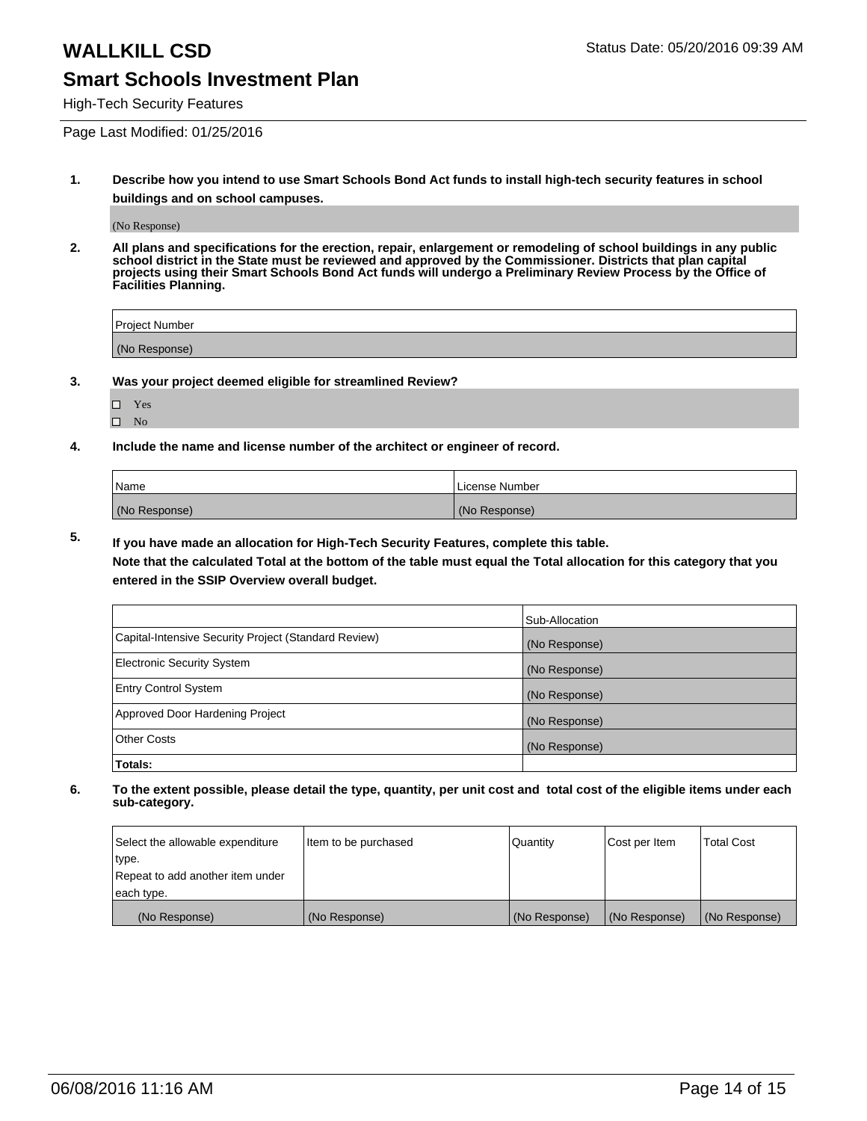High-Tech Security Features

Page Last Modified: 01/25/2016

**1. Describe how you intend to use Smart Schools Bond Act funds to install high-tech security features in school buildings and on school campuses.**

(No Response)

**2. All plans and specifications for the erection, repair, enlargement or remodeling of school buildings in any public school district in the State must be reviewed and approved by the Commissioner. Districts that plan capital projects using their Smart Schools Bond Act funds will undergo a Preliminary Review Process by the Office of Facilities Planning.** 

| Project Number |  |
|----------------|--|
| (No Response)  |  |

**3. Was your project deemed eligible for streamlined Review?**

□ Yes  $\hfill \square$  <br> No

**4. Include the name and license number of the architect or engineer of record.**

| Name          | License Number |
|---------------|----------------|
| (No Response) | (No Response)  |

**5. If you have made an allocation for High-Tech Security Features, complete this table.**

**Note that the calculated Total at the bottom of the table must equal the Total allocation for this category that you entered in the SSIP Overview overall budget.**

|                                                      | Sub-Allocation |
|------------------------------------------------------|----------------|
| Capital-Intensive Security Project (Standard Review) | (No Response)  |
| <b>Electronic Security System</b>                    | (No Response)  |
| <b>Entry Control System</b>                          | (No Response)  |
| Approved Door Hardening Project                      | (No Response)  |
| <b>Other Costs</b>                                   | (No Response)  |
| Totals:                                              |                |

| Select the allowable expenditure | Item to be purchased | Quantity      | Cost per Item | Total Cost    |
|----------------------------------|----------------------|---------------|---------------|---------------|
| type.                            |                      |               |               |               |
| Repeat to add another item under |                      |               |               |               |
| each type.                       |                      |               |               |               |
| (No Response)                    | (No Response)        | (No Response) | (No Response) | (No Response) |